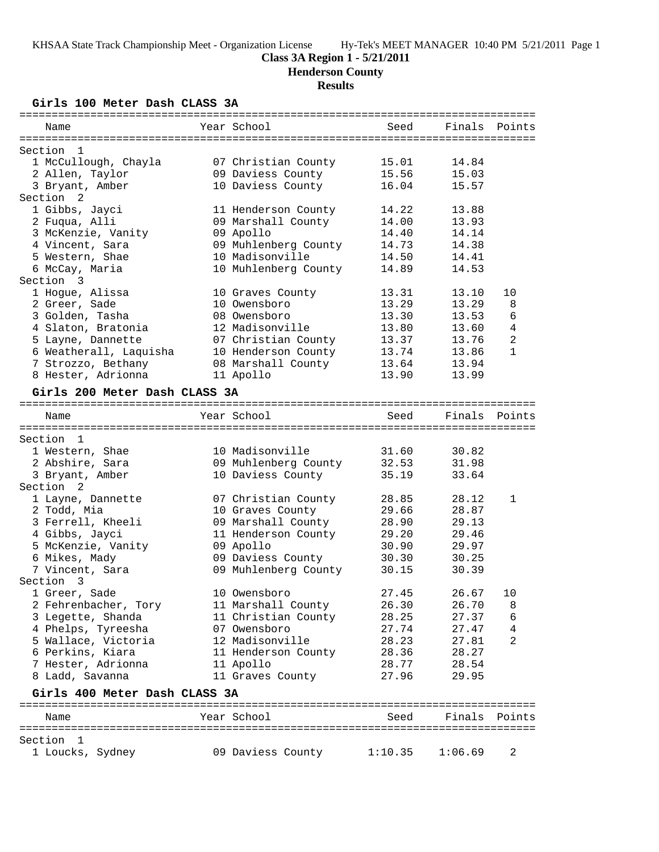## **Class 3A Region 1 - 5/21/2011**

**Henderson County**

# **Results**

**Girls 100 Meter Dash CLASS 3A**

| Name                                    | Year School          | Seed    | Finals        | Points         |
|-----------------------------------------|----------------------|---------|---------------|----------------|
|                                         |                      |         |               |                |
| Section<br>- 1                          |                      |         |               |                |
| 1 McCullough, Chayla                    | 07 Christian County  | 15.01   | 14.84         |                |
| 2 Allen, Taylor                         | 09 Daviess County    | 15.56   | 15.03         |                |
| 3 Bryant, Amber<br>Section <sub>2</sub> | 10 Daviess County    | 16.04   | 15.57         |                |
| 1 Gibbs, Jayci                          | 11 Henderson County  | 14.22   | 13.88         |                |
| 2 Fuqua, Alli                           | 09 Marshall County   | 14.00   | 13.93         |                |
| 3 McKenzie, Vanity                      | 09 Apollo            | 14.40   | 14.14         |                |
| 4 Vincent, Sara                         | 09 Muhlenberg County | 14.73   | 14.38         |                |
| 5 Western, Shae                         | 10 Madisonville      | 14.50   | 14.41         |                |
| 6 McCay, Maria                          | 10 Muhlenberg County | 14.89   | 14.53         |                |
| Section 3                               |                      |         |               |                |
| 1 Hogue, Alissa                         | 10 Graves County     | 13.31   | 13.10         | 10             |
| 2 Greer, Sade                           | 10 Owensboro         | 13.29   | 13.29         | 8              |
| 3 Golden, Tasha                         | 08 Owensboro         | 13.30   | 13.53         | 6              |
| 4 Slaton, Bratonia                      | 12 Madisonville      | 13.80   | 13.60         | $\overline{4}$ |
| 5 Layne, Dannette                       | 07 Christian County  | 13.37   | 13.76         | 2              |
| 6 Weatherall, Laquisha                  | 10 Henderson County  | 13.74   | 13.86         | $\mathbf{1}$   |
| 7 Strozzo, Bethany                      | 08 Marshall County   | 13.64   | 13.94         |                |
| 8 Hester, Adrionna                      | 11 Apollo            | 13.90   | 13.99         |                |
|                                         |                      |         |               |                |
| Girls 200 Meter Dash CLASS 3A           |                      |         |               |                |
|                                         | Year School          |         |               |                |
| Name                                    |                      | Seed    | Finals        | Points         |
| Section 1                               |                      |         |               |                |
| 1 Western, Shae                         | 10 Madisonville      | 31.60   | 30.82         |                |
| 2 Abshire, Sara                         | 09 Muhlenberg County | 32.53   | 31.98         |                |
| 3 Bryant, Amber                         | 10 Daviess County    | 35.19   | 33.64         |                |
| Section<br>- 2                          |                      |         |               |                |
| 1 Layne, Dannette                       | 07 Christian County  | 28.85   | 28.12         | 1              |
| 2 Todd, Mia                             | 10 Graves County     | 29.66   | 28.87         |                |
| 3 Ferrell, Kheeli                       | 09 Marshall County   | 28.90   | 29.13         |                |
| 4 Gibbs, Jayci                          | 11 Henderson County  | 29.20   | 29.46         |                |
| 5 McKenzie, Vanity                      | 09 Apollo            | 30.90   | 29.97         |                |
| 6 Mikes, Mady                           | 09 Daviess County    | 30.30   | 30.25         |                |
| 7 Vincent, Sara                         | 09 Muhlenberg County | 30.15   | 30.39         |                |
| Section 3                               |                      |         |               |                |
| 1 Greer, Sade                           | 10 Owensboro         | 27.45   | 26.67         | 10             |
| 2 Fehrenbacher, Tory                    | 11 Marshall County   | 26.30   | 26.70         | 8              |
| 3 Legette, Shanda                       | 11 Christian County  | 28.25   | 27.37         | 6              |
| 4 Phelps, Tyreesha                      | 07 Owensboro         | 27.74   | 27.47         | 4              |
| 5 Wallace, Victoria                     | 12 Madisonville      | 28.23   | 27.81         | 2              |
| 6 Perkins, Kiara                        | 11 Henderson County  | 28.36   | 28.27         |                |
| 7 Hester, Adrionna                      | 11 Apollo            | 28.77   | 28.54         |                |
| 8 Ladd, Savanna                         | 11 Graves County     | 27.96   | 29.95         |                |
|                                         |                      |         |               |                |
| Girls 400 Meter Dash CLASS 3A           |                      |         |               | ======         |
| Name                                    | Year School          | Seed    | Finals Points |                |
|                                         |                      |         |               |                |
| Section<br>-1                           |                      |         |               |                |
| 1 Loucks, Sydney                        | 09 Daviess County    | 1:10.35 | 1:06.69       | 2              |
|                                         |                      |         |               |                |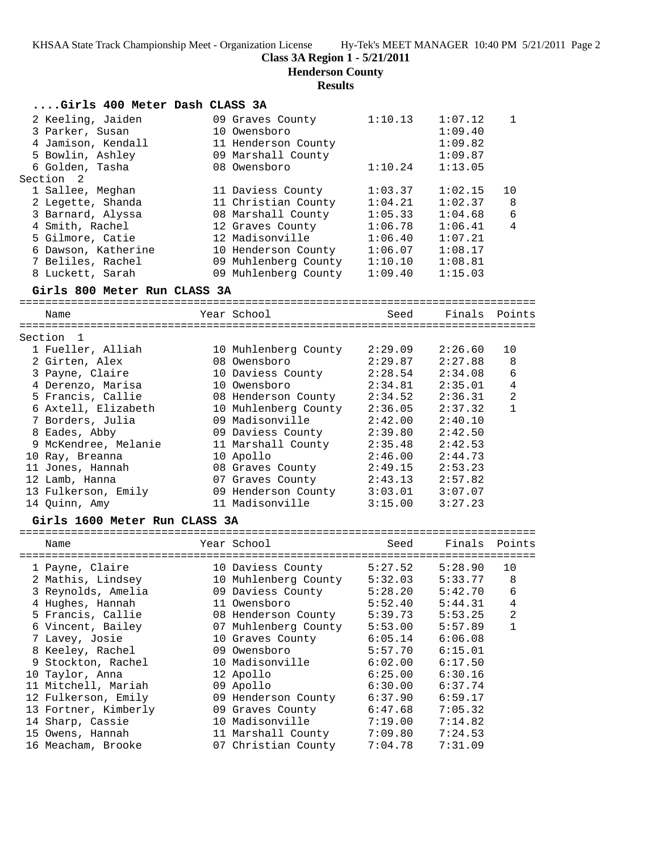**Henderson County**

## **Results**

| Girls 400 Meter Dash CLASS 3A |                              |         |               |                |
|-------------------------------|------------------------------|---------|---------------|----------------|
| 2 Keeling, Jaiden             | 09 Graves County             | 1:10.13 | 1:07.12       | $\mathbf 1$    |
| 3 Parker, Susan               | 10 Owensboro                 |         | 1:09.40       |                |
| 4 Jamison, Kendall            | 11 Henderson County          |         | 1:09.82       |                |
| 5 Bowlin, Ashley              | 09 Marshall County           |         | 1:09.87       |                |
| 6 Golden, Tasha               | 08 Owensboro                 | 1:10.24 | 1:13.05       |                |
| Section 2                     |                              |         |               |                |
| 1 Sallee, Meghan              | 11 Daviess County            | 1:03.37 | 1:02.15       | 10             |
| 2 Legette, Shanda             | 11 Christian County          | 1:04.21 | 1:02.37       | 8              |
| 3 Barnard, Alyssa             | 08 Marshall County           | 1:05.33 | 1:04.68       | 6              |
| 4 Smith, Rachel               | 12 Graves County             | 1:06.78 | 1:06.41       | 4              |
| 5 Gilmore, Catie              | 12 Madisonville              | 1:06.40 | 1:07.21       |                |
| 6 Dawson, Katherine           | 10 Henderson County          | 1:06.07 | 1:08.17       |                |
| 7 Beliles, Rachel             | 09 Muhlenberg County         | 1:10.10 | 1:08.81       |                |
| 8 Luckett, Sarah              | 09 Muhlenberg County         | 1:09.40 | 1:15.03       |                |
|                               |                              |         |               |                |
| Girls 800 Meter Run CLASS 3A  |                              |         |               |                |
| Name                          | Year School                  | Seed    | Finals        | Points         |
|                               |                              |         |               |                |
| Section 1                     |                              |         |               |                |
| 1 Fueller, Alliah             | 10 Muhlenberg County         | 2:29.09 | 2:26.60       | 10             |
| 2 Girten, Alex                | 08 Owensboro                 | 2:29.87 | 2:27.88       | 8              |
| 3 Payne, Claire               | 10 Daviess County            | 2:28.54 | 2:34.08       | 6              |
| 4 Derenzo, Marisa             | 10 Owensboro                 | 2:34.81 | 2:35.01       | $\overline{4}$ |
| 5 Francis, Callie             | 08 Henderson County          | 2:34.52 | 2:36.31       | $\overline{a}$ |
| 6 Axtell, Elizabeth           | 10 Muhlenberg County         | 2:36.05 | 2:37.32       | $\mathbf{1}$   |
| 7 Borders, Julia              | 09 Madisonville              | 2:42.00 | 2:40.10       |                |
| 8 Eades, Abby                 | 09 Daviess County            | 2:39.80 | 2:42.50       |                |
| 9 McKendree, Melanie          | 11 Marshall County           | 2:35.48 | 2:42.53       |                |
| 10 Ray, Breanna               | 10 Apollo                    | 2:46.00 | 2:44.73       |                |
| 11 Jones, Hannah              | 08 Graves County             | 2:49.15 | 2:53.23       |                |
| 12 Lamb, Hanna                | 07 Graves County             | 2:43.13 | 2:57.82       |                |
| 13 Fulkerson, Emily           | 09 Henderson County          | 3:03.01 | 3:07.07       |                |
| 14 Quinn, Amy                 | 11 Madisonville              | 3:15.00 | 3:27.23       |                |
| Girls 1600 Meter Run CLASS 3A |                              |         |               |                |
|                               |                              |         |               |                |
| Name                          | Year School                  | Seed    | Finals Points |                |
| 1 Payne, Claire               | 10 Daviess County            | 5:27.52 | 5:28.90       | 10             |
| 2 Mathis, Lindsey             | 10 Muhlenberg County 5:32.03 |         | 5:33.77       | 8              |
| 3 Reynolds, Amelia            | 09 Daviess County            | 5:28.20 | 5:42.70       | 6              |
| 4 Hughes, Hannah              | 11 Owensboro                 | 5:52.40 | 5:44.31       | 4              |
| 5 Francis, Callie             | 08 Henderson County          | 5:39.73 | 5:53.25       | 2              |
| 6 Vincent, Bailey             | 07 Muhlenberg County         | 5:53.00 | 5:57.89       | 1              |
| 7 Lavey, Josie                | 10 Graves County             | 6:05.14 | 6:06.08       |                |
| 8 Keeley, Rachel              | 09 Owensboro                 | 5:57.70 | 6:15.01       |                |
| 9 Stockton, Rachel            | 10 Madisonville              | 6:02.00 | 6:17.50       |                |
| 10 Taylor, Anna               | 12 Apollo                    | 6:25.00 | 6:30.16       |                |
| 11 Mitchell, Mariah           | 09 Apollo                    | 6:30.00 | 6:37.74       |                |
| 12 Fulkerson, Emily           | 09 Henderson County          | 6:37.90 | 6:59.17       |                |
| 13 Fortner, Kimberly          | 09 Graves County             | 6:47.68 | 7:05.32       |                |
| 14 Sharp, Cassie              | 10 Madisonville              | 7:19.00 | 7:14.82       |                |
| 15 Owens, Hannah              | 11 Marshall County           | 7:09.80 | 7:24.53       |                |
| 16 Meacham, Brooke            | 07 Christian County          | 7:04.78 | 7:31.09       |                |
|                               |                              |         |               |                |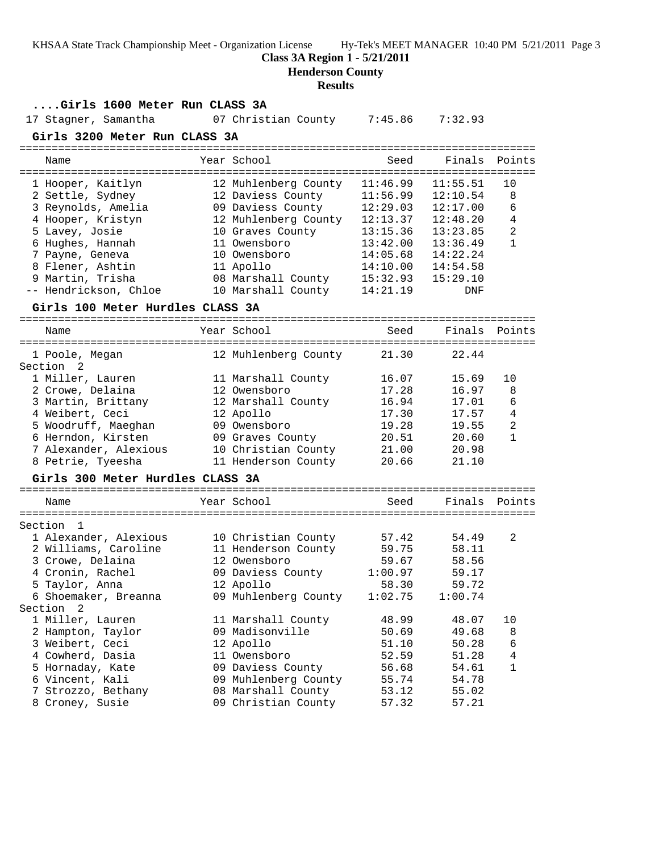**Class 3A Region 1 - 5/21/2011**

**Henderson County**

#### **Results**

### **....Girls 1600 Meter Run CLASS 3A**

17 Stagner, Samantha 07 Christian County 7:45.86 7:32.93

 9 Martin, Trisha 08 Marshall County 15:32.93 15:29.10 -- Hendrickson, Chloe 10 Marshall County 14:21.19 DNF

#### **Girls 3200 Meter Run CLASS 3A**

================================================================================ Name The Year School Seed Finals Points ================================================================================ 1 Hooper, Kaitlyn 12 Muhlenberg County 11:46.99 11:55.51 10 2 Settle, Sydney 12 Daviess County 11:56.99 12:10.54 8 3 Reynolds, Amelia 09 Daviess County 12:29.03 12:17.00 6 4 Hooper, Kristyn 12 Muhlenberg County 12:13.37 12:48.20 4 5 Lavey, Josie 10 Graves County 13:15.36 13:23.85 2 6 Hughes, Hannah 11 Owensboro 13:42.00 13:36.49 1 7 Payne, Geneva 10 Owensboro 14:05.68 14:22.24 8 Flener, Ashtin 11 Apollo 14:10.00 14:54.58

#### **Girls 100 Meter Hurdles CLASS 3A**

================================================================================ Name The Year School Seed Finals Points

| 12 Muhlenberg County | 21.30 | 22.44 |              |
|----------------------|-------|-------|--------------|
|                      |       |       |              |
| 11 Marshall County   | 16.07 | 15.69 | 10           |
| 12 Owensboro         | 17.28 | 16.97 | 8            |
| 12 Marshall County   | 16.94 | 17.01 | 6            |
| 12 Apollo            | 17.30 | 17.57 | 4            |
| 09 Owensboro         | 19.28 | 19.55 | 2            |
| 09 Graves County     | 20.51 | 20.60 | $\mathbf{1}$ |
| 10 Christian County  | 21.00 | 20.98 |              |
| 11 Henderson County  | 20.66 | 21.10 |              |
|                      |       |       |              |

#### **Girls 300 Meter Hurdles CLASS 3A**

================================================================================ Name Year School Seed Finals Points ================================================================================ Section 1 1 Alexander, Alexious 10 Christian County 57.42 54.49 2 2 Williams, Caroline 11 Henderson County 59.75 58.11 3 Crowe, Delaina 12 Owensboro 59.67 58.56 4 Cronin, Rachel 09 Daviess County 1:00.97 59.17 5 Taylor, Anna 12 Apollo 58.30 59.72 6 Shoemaker, Breanna 09 Muhlenberg County 1:02.75 1:00.74 Section 2 1 Miller, Lauren 11 Marshall County 48.99 48.07 10 2 Hampton, Taylor 09 Madisonville 50.69 49.68 8 3 Weibert, Ceci 12 Apollo 51.10 50.28 6 4 Cowherd, Dasia 11 Owensboro 52.59 51.28 4 5 Hornaday, Kate 09 Daviess County 56.68 54.61 1 6 Vincent, Kali 09 Muhlenberg County 55.74 54.78 7 Strozzo, Bethany 08 Marshall County 53.12 55.02 8 Croney, Susie 09 Christian County 57.32 57.21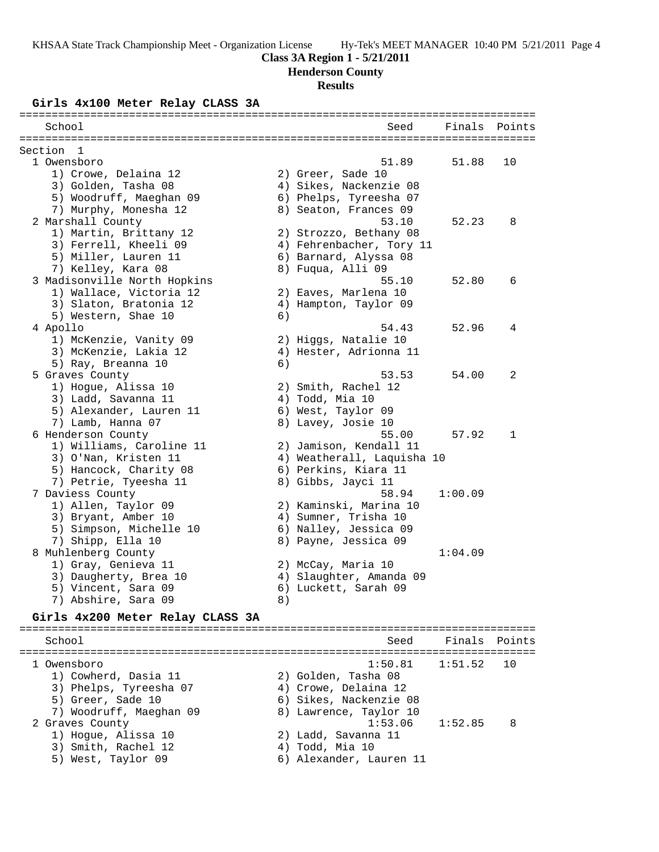## **Class 3A Region 1 - 5/21/2011**

**Henderson County**

# **Results**

### **Girls 4x100 Meter Relay CLASS 3A**

| School                           |    | Seed                       | Finals  | Points       |
|----------------------------------|----|----------------------------|---------|--------------|
|                                  |    |                            |         |              |
| Section<br>- 1<br>1 Owensboro    |    | 51.89                      | 51.88   | 10           |
| 1) Crowe, Delaina 12             |    | 2) Greer, Sade 10          |         |              |
| 3) Golden, Tasha 08              |    | 4) Sikes, Nackenzie 08     |         |              |
| 5) Woodruff, Maeghan 09          |    | 6) Phelps, Tyreesha 07     |         |              |
| 7) Murphy, Monesha 12            |    | 8) Seaton, Frances 09      |         |              |
| 2 Marshall County                |    | 53.10                      | 52.23   | 8            |
| 1) Martin, Brittany 12           |    | 2) Strozzo, Bethany 08     |         |              |
| 3) Ferrell, Kheeli 09            |    | 4) Fehrenbacher, Tory 11   |         |              |
| 5) Miller, Lauren 11             |    | 6) Barnard, Alyssa 08      |         |              |
| 7) Kelley, Kara 08               |    | 8) Fuqua, Alli 09          |         |              |
| 3 Madisonville North Hopkins     |    | 55.10                      | 52.80   | 6            |
| 1) Wallace, Victoria 12          |    | 2) Eaves, Marlena 10       |         |              |
| 3) Slaton, Bratonia 12           |    | 4) Hampton, Taylor 09      |         |              |
| 5) Western, Shae 10              | 6) |                            |         |              |
| 4 Apollo                         |    | 54.43                      | 52.96   | 4            |
| 1) McKenzie, Vanity 09           |    | 2) Higgs, Natalie 10       |         |              |
| 3) McKenzie, Lakia 12            |    | 4) Hester, Adrionna 11     |         |              |
| 5) Ray, Breanna 10               | 6) |                            |         |              |
| 5 Graves County                  |    | 53.53                      | 54.00   | 2            |
| 1) Hogue, Alissa 10              |    | 2) Smith, Rachel 12        |         |              |
| 3) Ladd, Savanna 11              |    | 4) Todd, Mia 10            |         |              |
| 5) Alexander, Lauren 11          |    | 6) West, Taylor 09         |         |              |
| 7) Lamb, Hanna 07                |    | 8) Lavey, Josie 10         |         |              |
| 6 Henderson County               |    | 55.00                      | 57.92   | $\mathbf{1}$ |
| 1) Williams, Caroline 11         |    | 2) Jamison, Kendall 11     |         |              |
| 3) O'Nan, Kristen 11             |    | 4) Weatherall, Laquisha 10 |         |              |
| 5) Hancock, Charity 08           |    | 6) Perkins, Kiara 11       |         |              |
| 7) Petrie, Tyeesha 11            |    | 8) Gibbs, Jayci 11         |         |              |
| 7 Daviess County                 |    | 58.94                      | 1:00.09 |              |
| 1) Allen, Taylor 09              |    | 2) Kaminski, Marina 10     |         |              |
| 3) Bryant, Amber 10              |    | 4) Sumner, Trisha 10       |         |              |
| 5) Simpson, Michelle 10          |    | 6) Nalley, Jessica 09      |         |              |
| 7) Shipp, Ella 10                |    | 8) Payne, Jessica 09       |         |              |
| 8 Muhlenberg County              |    |                            | 1:04.09 |              |
| 1) Gray, Genieva 11              |    | 2) McCay, Maria 10         |         |              |
| 3) Daugherty, Brea 10            |    | 4) Slaughter, Amanda 09    |         |              |
| 5) Vincent, Sara 09              |    | 6) Luckett, Sarah 09       |         |              |
| 7) Abshire, Sara 09              | 8) |                            |         |              |
| Girls 4x200 Meter Relay CLASS 3A |    |                            |         |              |
|                                  |    |                            |         |              |
| School                           |    | Seed                       | Finals  | Points       |
| 1 Owensboro                      |    | 1:50.81                    | 1:51.52 | 10           |
| 1) Cowherd, Dasia 11             |    | 2) Golden, Tasha 08        |         |              |
| 3) Phelps, Tyreesha 07           |    | 4) Crowe, Delaina 12       |         |              |
| 5) Greer, Sade 10                |    | 6) Sikes, Nackenzie 08     |         |              |
| 7) Woodruff, Maeghan 09          |    | 8) Lawrence, Taylor 10     |         |              |
| 2 Graves County                  |    | 1:53.06                    | 1:52.85 | 8            |
| 1) Hogue, Alissa 10              |    | 2) Ladd, Savanna 11        |         |              |
| 3) Smith, Rachel 12              |    | 4) Todd, Mia 10            |         |              |
| 5) West, Taylor 09               |    | 6) Alexander, Lauren 11    |         |              |
|                                  |    |                            |         |              |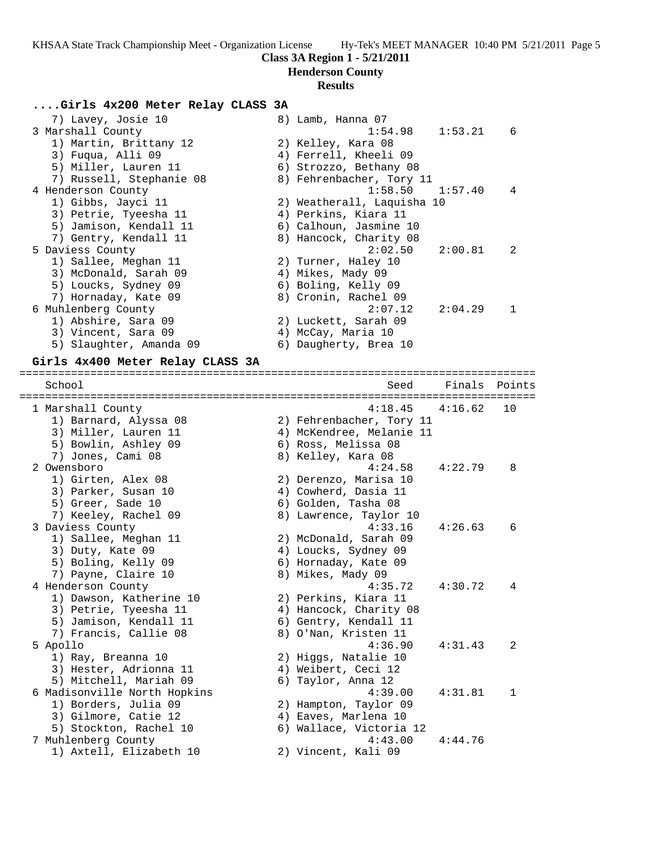**Class 3A Region 1 - 5/21/2011**

#### **Henderson County**

#### **Results**

#### **....Girls 4x200 Meter Relay CLASS 3A**

| 7) Lavey, Josie 10       | 8) Lamb, Hanna 07                                |
|--------------------------|--------------------------------------------------|
| 3 Marshall County        | 1:54.98<br>$1:53.21$ 6                           |
| 1) Martin, Brittany 12   | 2) Kelley, Kara 08                               |
| 3) Fuqua, Alli 09        | 4) Ferrell, Kheeli 09                            |
| 5) Miller, Lauren 11     | 6) Strozzo, Bethany 08                           |
| 7) Russell, Stephanie 08 | 8) Fehrenbacher, Tory 11                         |
| 4 Henderson County       | $1:58.50$ $1:57.40$<br>4                         |
| 1) Gibbs, Jayci 11       | 2) Weatherall, Laquisha 10                       |
| 3) Petrie, Tyeesha 11    | 4) Perkins, Kiara 11                             |
| 5) Jamison, Kendall 11   | 6) Calhoun, Jasmine 10                           |
| 7) Gentry, Kendall 11    | 8) Hancock, Charity 08                           |
| 5 Daviess County         | 2:02.50<br>2:00.81<br>$\overline{\phantom{0}}^2$ |
| 1) Sallee, Meghan 11     | 2) Turner, Haley 10                              |
| 3) McDonald, Sarah 09    | 4) Mikes, Mady 09                                |
| 5) Loucks, Sydney 09     | 6) Boling, Kelly 09                              |
| 7) Hornaday, Kate 09     | 8) Cronin, Rachel 09                             |
| 6 Muhlenberg County      | 2:07.12<br>2:04.29<br>-1                         |
| 1) Abshire, Sara 09      | 2) Luckett, Sarah 09                             |
| 3) Vincent, Sara 09      | 4) McCay, Maria 10                               |
| 5) Slaughter, Amanda 09  | 6) Daugherty, Brea 10                            |

================================================================================

### **Girls 4x400 Meter Relay CLASS 3A**

 School Seed Finals Points ================================================================================ 1 Marshall County 4:18.45 4:16.62 10 1) Barnard, Alyssa 08 2) Fehrenbacher, Tory 11 3) Miller, Lauren 11 4) McKendree, Melanie 11 5) Bowlin, Ashley 09 6) Ross, Melissa 08 7) Jones, Cami 08 8) Kelley, Kara 08 2 Owensboro 4:24.58 4:22.79 8 1) Girten, Alex 08 2) Derenzo, Marisa 10 3) Parker, Susan 10 (4) Cowherd, Dasia 11 5) Greer, Sade 10 6) Golden, Tasha 08 7) Keeley, Rachel 09 8) Lawrence, Taylor 10 3 Daviess County 4:33.16 4:26.63 6 1) Sallee, Meghan 11 2) McDonald, Sarah 09 3) Duty, Kate 09 4) Loucks, Sydney 09 5) Boling, Kelly 09 6) Hornaday, Kate 09 7) Payne, Claire 10 8) Mikes, Mady 09 4 Henderson County 4:35.72 4:30.72 4 1) Dawson, Katherine 10 2) Perkins, Kiara 11 3) Petrie, Tyeesha 11  $\hskip10mm 4$ ) Hancock, Charity 08 5) Jamison, Kendall 11 6) Gentry, Kendall 11 7) Francis, Callie 08 8) O'Nan, Kristen 11 5 Apollo 4:36.90 4:31.43 2 1) Ray, Breanna 10 2) Higgs, Natalie 10 3) Hester, Adrionna 11 (4) Weibert, Ceci 12 5) Mitchell, Mariah 09  $\qquad \qquad$  6) Taylor, Anna 12 6 Madisonville North Hopkins 4:39.00 4:31.81 1 1) Borders, Julia 09 2) Hampton, Taylor 09 3) Gilmore, Catie 12 (4) Eaves, Marlena 10 5) Stockton, Rachel 10 6) Wallace, Victoria 12 7 Muhlenberg County 4:43.00 4:44.76 1) Axtell, Elizabeth 10 2) Vincent, Kali 09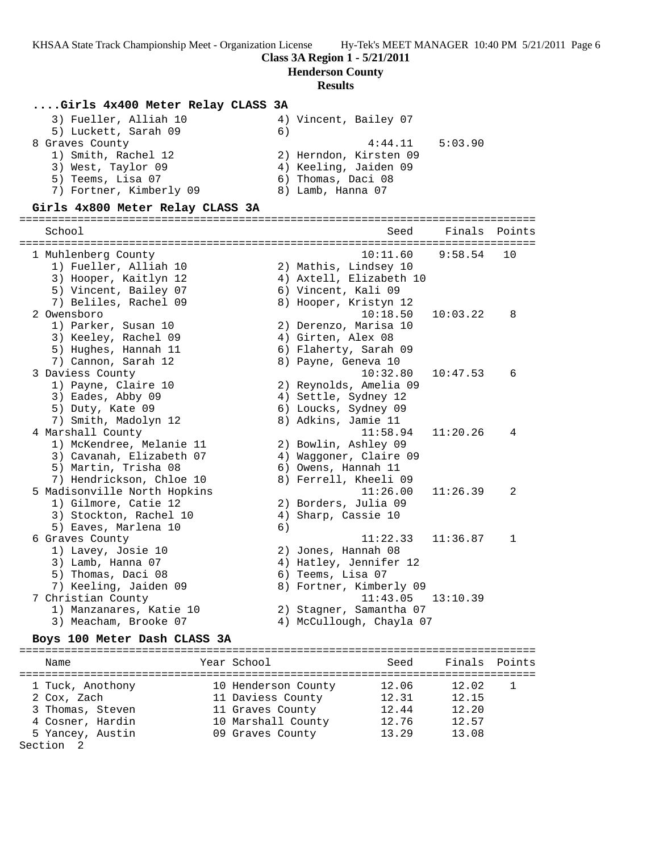### **Class 3A Region 1 - 5/21/2011**

**Henderson County**

#### **Results**

#### **....Girls 4x400 Meter Relay CLASS 3A**

| 3) Fueller, Alliah 10   | 4) Vincent, Bailey 07  |
|-------------------------|------------------------|
| 5) Luckett, Sarah 09    | 6)                     |
| 8 Graves County         | 5:03.90<br>4:44.11     |
| 1) Smith, Rachel 12     | 2) Herndon, Kirsten 09 |
| 3) West, Taylor 09      | 4) Keeling, Jaiden 09  |
| 5) Teems, Lisa 07       | 6) Thomas, Daci 08     |
| 7) Fortner, Kimberly 09 | 8) Lamb, Hanna 07      |

#### **Girls 4x800 Meter Relay CLASS 3A**

================================================================================ School Seed Finals Points ================================================================================ 1 Muhlenberg County 10:11.60 9:58.54 10 1) Fueller, Alliah 10 2) Mathis, Lindsey 10 3) Hooper, Kaitlyn 12 4) Axtell, Elizabeth 10 5) Vincent, Bailey 07 6) Vincent, Kali 09 7) Beliles, Rachel 09 8) Hooper, Kristyn 12 2 Owensboro 10:18.50 10:03.22 8 1) Parker, Susan 10 2) Derenzo, Marisa 10 3) Keeley, Rachel 09 (4) Girten, Alex 08 5) Hughes, Hannah 11 6) Flaherty, Sarah 09 7) Cannon, Sarah 12 anno 8) Payne, Geneva 10 3 Daviess County 10:32.80 10:47.53 6 1) Payne, Claire 10 2) Reynolds, Amelia 09 3) Eades, Abby 09 4) Settle, Sydney 12 5) Duty, Kate 09 6) Loucks, Sydney 09 7) Smith, Madolyn 12 8) Adkins, Jamie 11 4 Marshall County 11:58.94 11:20.26 4 1) McKendree, Melanie 11 2) Bowlin, Ashley 09 3) Cavanah, Elizabeth 07 4) Waggoner, Claire 09 5) Martin, Trisha 08 6) Owens, Hannah 11 7) Hendrickson, Chloe 10 8) Ferrell, Kheeli 09 5 Madisonville North Hopkins 11:26.00 11:26.39 2 1) Gilmore, Catie 12 2) Borders, Julia 09 3) Stockton, Rachel 10 4) Sharp, Cassie 10 5) Eaves, Marlena 10 (6) 6 Graves County 11:22.33 11:36.87 1 1) Lavey, Josie 10 2) Jones, Hannah 08 3) Lamb, Hanna 07 4) Hatley, Jennifer 12 5) Thomas, Daci 08 6) Teems, Lisa 07 7) Keeling, Jaiden 09 8) Fortner, Kimberly 09 7 Christian County 11:43.05 13:10.39 1) Manzanares, Katie 10 2) Stagner, Samantha 07 3) Meacham, Brooke 07 4) McCullough, Chayla 07

#### **Boys 100 Meter Dash CLASS 3A**

| Name                                                                                        | Year School                                                                                            | Seed                                      | Finals Points                             |  |
|---------------------------------------------------------------------------------------------|--------------------------------------------------------------------------------------------------------|-------------------------------------------|-------------------------------------------|--|
| 1 Tuck, Anothony<br>2 Cox, Zach<br>3 Thomas, Steven<br>4 Cosner, Hardin<br>5 Yancey, Austin | 10 Henderson County<br>11 Daviess County<br>11 Graves County<br>10 Marshall County<br>09 Graves County | 12.06<br>12.31<br>12.44<br>12.76<br>13.29 | 12.02<br>12.15<br>12.20<br>12.57<br>13.08 |  |
| $\sim$ $\sim$ $\sim$ $\sim$ $\sim$                                                          |                                                                                                        |                                           |                                           |  |

Section 2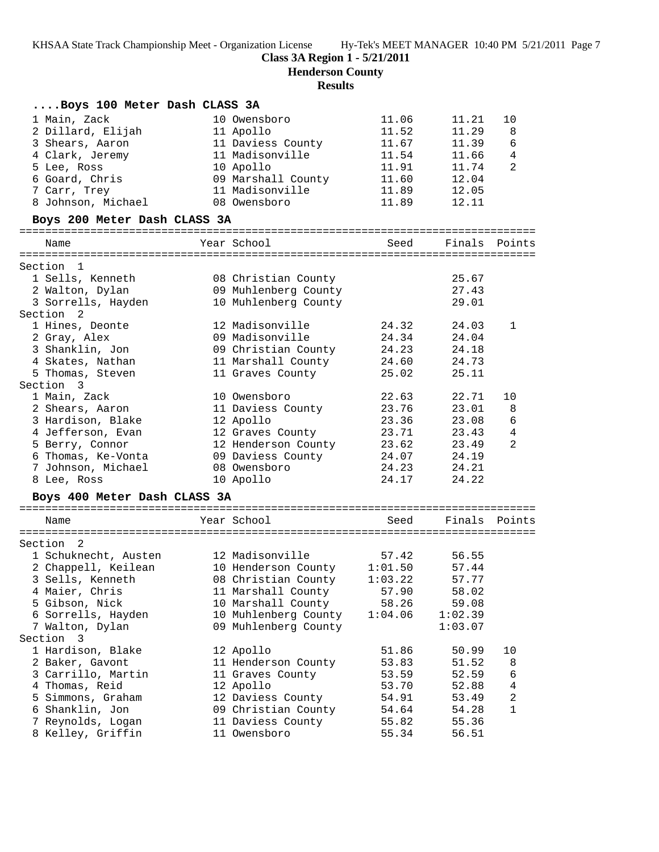**Henderson County**

**Results**

| Boys 100 Meter Dash CLASS 3A      |                             |                |                |                         |
|-----------------------------------|-----------------------------|----------------|----------------|-------------------------|
| 1 Main, Zack                      | 10 Owensboro                | 11.06          | 11.21          | 10                      |
| 2 Dillard, Elijah                 | 11 Apollo                   | 11.52          | 11.29          | 8                       |
| 3 Shears, Aaron                   | 11 Daviess County           | 11.67          | 11.39          | 6                       |
| 4 Clark, Jeremy                   | 11 Madisonville             | 11.54          | 11.66          | 4                       |
| 5 Lee, Ross                       | 10 Apollo                   | 11.91          | 11.74          | 2                       |
| 6 Goard, Chris                    | 09 Marshall County          | 11.60          | 12.04          |                         |
| 7 Carr, Trey                      | 11 Madisonville             | 11.89          | 12.05          |                         |
| 8 Johnson, Michael                | 08 Owensboro                | 11.89          | 12.11          |                         |
| Boys 200 Meter Dash CLASS 3A      |                             |                |                |                         |
| Name                              | Year School                 | Seed           | Finals Points  |                         |
| Section 1                         |                             |                |                |                         |
| 1 Sells, Kenneth                  | 08 Christian County         |                | 25.67          |                         |
| 2 Walton, Dylan                   | 09 Muhlenberg County        |                | 27.43          |                         |
| 3 Sorrells, Hayden                | 10 Muhlenberg County        |                | 29.01          |                         |
| Section 2                         |                             |                |                |                         |
| 1 Hines, Deonte                   | 12 Madisonville             | 24.32          | 24.03          | 1                       |
| 2 Gray, Alex                      | 09 Madisonville             | 24.34          | 24.04          |                         |
| 3 Shanklin, Jon                   | 09 Christian County         | 24.23          | 24.18          |                         |
| 4 Skates, Nathan                  | 11 Marshall County          | 24.60          | 24.73          |                         |
| 5 Thomas, Steven                  | 11 Graves County            | 25.02          | 25.11          |                         |
| Section 3                         |                             |                |                |                         |
| 1 Main, Zack                      | 10 Owensboro                | 22.63          | 22.71          | 10                      |
| 2 Shears, Aaron                   | 11 Daviess County           | 23.76          | 23.01          | 8                       |
| 3 Hardison, Blake                 | 12 Apollo                   | 23.36          | 23.08          | 6                       |
| 4 Jefferson, Evan                 | 12 Graves County            | 23.71          | 23.43          | 4                       |
| 5 Berry, Connor                   | 12 Henderson County         | 23.62          | 23.49          | 2                       |
| 6 Thomas, Ke-Vonta                | 09 Daviess County           | 24.07          | 24.19          |                         |
| 7 Johnson, Michael<br>8 Lee, Ross | 08 Owensboro<br>10 Apollo   | 24.23<br>24.17 | 24.21<br>24.22 |                         |
|                                   |                             |                |                |                         |
| Boys 400 Meter Dash CLASS 3A      |                             |                |                |                         |
| Name                              | Year School                 | Seed           | Finals Points  |                         |
| Section 2                         |                             |                |                |                         |
| 1 Schuknecht, Austen              | 12 Madisonville             | 57.42          | 56.55          |                         |
| 2 Chappell, Keilean               | 10 Henderson County 1:01.50 |                | 57.44          |                         |
| 3 Sells, Kenneth                  | 08 Christian County         | 1:03.22        | 57.77          |                         |
| 4 Maier, Chris                    | 11 Marshall County          | 57.90          | 58.02          |                         |
| 5 Gibson, Nick                    | 10 Marshall County          | 58.26          | 59.08          |                         |
| 6 Sorrells, Hayden                | 10 Muhlenberg County        | 1:04.06        | 1:02.39        |                         |
| 7 Walton, Dylan                   | 09 Muhlenberg County        |                | 1:03.07        |                         |
| Section 3                         |                             |                |                |                         |
| 1 Hardison, Blake                 | 12 Apollo                   | 51.86          | 50.99          | 10                      |
| 2 Baker, Gavont                   | 11 Henderson County         | 53.83          | 51.52          | 8                       |
| 3 Carrillo, Martin                | 11 Graves County            | 53.59          | 52.59          | 6                       |
| 4 Thomas, Reid                    | 12 Apollo                   | 53.70          | 52.88          | $\overline{\mathbf{4}}$ |
| 5 Simmons, Graham                 | 12 Daviess County           | 54.91          | 53.49          | $\overline{c}$          |
| 6 Shanklin, Jon                   | 09 Christian County         | 54.64          | 54.28          | 1                       |
| 7 Reynolds, Logan                 | 11 Daviess County           | 55.82          | 55.36          |                         |
| 8 Kelley, Griffin                 | 11 Owensboro                | 55.34          | 56.51          |                         |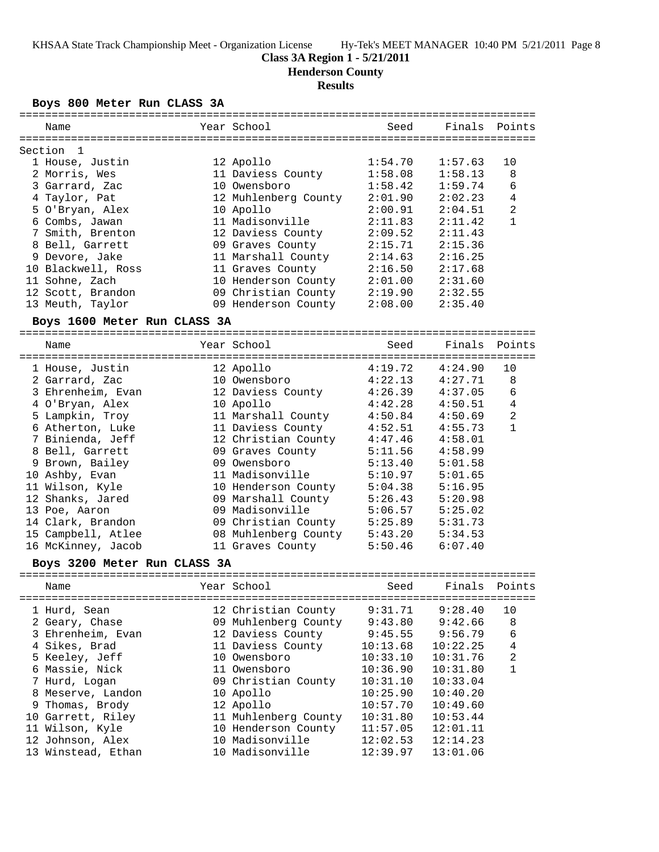## **Class 3A Region 1 - 5/21/2011**

**Henderson County**

#### **Results**

#### **Boys 800 Meter Run CLASS 3A**

|                     |                                                                                                                              | Seed                                                                                                                                                                                                                                                                                                                                                                                                                                                                                                                                                                                                                                                                                                                                                                                                                                                                                                 | Finals                                                                                                                                                                                                                                                                                                               | Points                                                                                                                                                                                 |
|---------------------|------------------------------------------------------------------------------------------------------------------------------|------------------------------------------------------------------------------------------------------------------------------------------------------------------------------------------------------------------------------------------------------------------------------------------------------------------------------------------------------------------------------------------------------------------------------------------------------------------------------------------------------------------------------------------------------------------------------------------------------------------------------------------------------------------------------------------------------------------------------------------------------------------------------------------------------------------------------------------------------------------------------------------------------|----------------------------------------------------------------------------------------------------------------------------------------------------------------------------------------------------------------------------------------------------------------------------------------------------------------------|----------------------------------------------------------------------------------------------------------------------------------------------------------------------------------------|
|                     |                                                                                                                              |                                                                                                                                                                                                                                                                                                                                                                                                                                                                                                                                                                                                                                                                                                                                                                                                                                                                                                      |                                                                                                                                                                                                                                                                                                                      |                                                                                                                                                                                        |
| 1 House, Justin     |                                                                                                                              |                                                                                                                                                                                                                                                                                                                                                                                                                                                                                                                                                                                                                                                                                                                                                                                                                                                                                                      |                                                                                                                                                                                                                                                                                                                      | 10                                                                                                                                                                                     |
|                     |                                                                                                                              |                                                                                                                                                                                                                                                                                                                                                                                                                                                                                                                                                                                                                                                                                                                                                                                                                                                                                                      |                                                                                                                                                                                                                                                                                                                      | 8                                                                                                                                                                                      |
|                     |                                                                                                                              |                                                                                                                                                                                                                                                                                                                                                                                                                                                                                                                                                                                                                                                                                                                                                                                                                                                                                                      |                                                                                                                                                                                                                                                                                                                      | 6                                                                                                                                                                                      |
|                     |                                                                                                                              |                                                                                                                                                                                                                                                                                                                                                                                                                                                                                                                                                                                                                                                                                                                                                                                                                                                                                                      |                                                                                                                                                                                                                                                                                                                      | 4                                                                                                                                                                                      |
| 5 O'Bryan, Alex     |                                                                                                                              |                                                                                                                                                                                                                                                                                                                                                                                                                                                                                                                                                                                                                                                                                                                                                                                                                                                                                                      |                                                                                                                                                                                                                                                                                                                      | 2                                                                                                                                                                                      |
|                     |                                                                                                                              |                                                                                                                                                                                                                                                                                                                                                                                                                                                                                                                                                                                                                                                                                                                                                                                                                                                                                                      |                                                                                                                                                                                                                                                                                                                      | 1                                                                                                                                                                                      |
|                     |                                                                                                                              |                                                                                                                                                                                                                                                                                                                                                                                                                                                                                                                                                                                                                                                                                                                                                                                                                                                                                                      |                                                                                                                                                                                                                                                                                                                      |                                                                                                                                                                                        |
|                     |                                                                                                                              |                                                                                                                                                                                                                                                                                                                                                                                                                                                                                                                                                                                                                                                                                                                                                                                                                                                                                                      |                                                                                                                                                                                                                                                                                                                      |                                                                                                                                                                                        |
|                     |                                                                                                                              |                                                                                                                                                                                                                                                                                                                                                                                                                                                                                                                                                                                                                                                                                                                                                                                                                                                                                                      |                                                                                                                                                                                                                                                                                                                      |                                                                                                                                                                                        |
|                     |                                                                                                                              |                                                                                                                                                                                                                                                                                                                                                                                                                                                                                                                                                                                                                                                                                                                                                                                                                                                                                                      |                                                                                                                                                                                                                                                                                                                      |                                                                                                                                                                                        |
|                     |                                                                                                                              |                                                                                                                                                                                                                                                                                                                                                                                                                                                                                                                                                                                                                                                                                                                                                                                                                                                                                                      |                                                                                                                                                                                                                                                                                                                      |                                                                                                                                                                                        |
|                     |                                                                                                                              |                                                                                                                                                                                                                                                                                                                                                                                                                                                                                                                                                                                                                                                                                                                                                                                                                                                                                                      |                                                                                                                                                                                                                                                                                                                      |                                                                                                                                                                                        |
|                     |                                                                                                                              |                                                                                                                                                                                                                                                                                                                                                                                                                                                                                                                                                                                                                                                                                                                                                                                                                                                                                                      |                                                                                                                                                                                                                                                                                                                      |                                                                                                                                                                                        |
|                     |                                                                                                                              |                                                                                                                                                                                                                                                                                                                                                                                                                                                                                                                                                                                                                                                                                                                                                                                                                                                                                                      |                                                                                                                                                                                                                                                                                                                      |                                                                                                                                                                                        |
|                     |                                                                                                                              |                                                                                                                                                                                                                                                                                                                                                                                                                                                                                                                                                                                                                                                                                                                                                                                                                                                                                                      |                                                                                                                                                                                                                                                                                                                      |                                                                                                                                                                                        |
|                     |                                                                                                                              | Seed                                                                                                                                                                                                                                                                                                                                                                                                                                                                                                                                                                                                                                                                                                                                                                                                                                                                                                 | Finals                                                                                                                                                                                                                                                                                                               | Points                                                                                                                                                                                 |
| ------------------- |                                                                                                                              |                                                                                                                                                                                                                                                                                                                                                                                                                                                                                                                                                                                                                                                                                                                                                                                                                                                                                                      |                                                                                                                                                                                                                                                                                                                      |                                                                                                                                                                                        |
| 1 House, Justin     |                                                                                                                              | 4:19.72                                                                                                                                                                                                                                                                                                                                                                                                                                                                                                                                                                                                                                                                                                                                                                                                                                                                                              | 4:24.90                                                                                                                                                                                                                                                                                                              | 10                                                                                                                                                                                     |
|                     |                                                                                                                              |                                                                                                                                                                                                                                                                                                                                                                                                                                                                                                                                                                                                                                                                                                                                                                                                                                                                                                      | 4:27.71                                                                                                                                                                                                                                                                                                              | 8                                                                                                                                                                                      |
| 3 Ehrenheim, Evan   |                                                                                                                              | 4:26.39                                                                                                                                                                                                                                                                                                                                                                                                                                                                                                                                                                                                                                                                                                                                                                                                                                                                                              | 4:37.05                                                                                                                                                                                                                                                                                                              | 6                                                                                                                                                                                      |
| 4 O'Bryan, Alex     |                                                                                                                              | 4:42.28                                                                                                                                                                                                                                                                                                                                                                                                                                                                                                                                                                                                                                                                                                                                                                                                                                                                                              | 4:50.51                                                                                                                                                                                                                                                                                                              | 4                                                                                                                                                                                      |
| 5 Lampkin, Troy     |                                                                                                                              | 4:50.84                                                                                                                                                                                                                                                                                                                                                                                                                                                                                                                                                                                                                                                                                                                                                                                                                                                                                              | 4:50.69                                                                                                                                                                                                                                                                                                              | 2                                                                                                                                                                                      |
| 6 Atherton, Luke    |                                                                                                                              | 4:52.51                                                                                                                                                                                                                                                                                                                                                                                                                                                                                                                                                                                                                                                                                                                                                                                                                                                                                              | 4:55.73                                                                                                                                                                                                                                                                                                              | 1                                                                                                                                                                                      |
| 7 Binienda, Jeff    |                                                                                                                              | 4:47.46                                                                                                                                                                                                                                                                                                                                                                                                                                                                                                                                                                                                                                                                                                                                                                                                                                                                                              | 4:58.01                                                                                                                                                                                                                                                                                                              |                                                                                                                                                                                        |
|                     |                                                                                                                              | 5:11.56                                                                                                                                                                                                                                                                                                                                                                                                                                                                                                                                                                                                                                                                                                                                                                                                                                                                                              | 4:58.99                                                                                                                                                                                                                                                                                                              |                                                                                                                                                                                        |
| 9 Brown, Bailey     |                                                                                                                              | 5:13.40                                                                                                                                                                                                                                                                                                                                                                                                                                                                                                                                                                                                                                                                                                                                                                                                                                                                                              | 5:01.58                                                                                                                                                                                                                                                                                                              |                                                                                                                                                                                        |
|                     |                                                                                                                              | 5:10.97                                                                                                                                                                                                                                                                                                                                                                                                                                                                                                                                                                                                                                                                                                                                                                                                                                                                                              | 5:01.65                                                                                                                                                                                                                                                                                                              |                                                                                                                                                                                        |
|                     |                                                                                                                              | 5:04.38                                                                                                                                                                                                                                                                                                                                                                                                                                                                                                                                                                                                                                                                                                                                                                                                                                                                                              | 5:16.95                                                                                                                                                                                                                                                                                                              |                                                                                                                                                                                        |
| 12 Shanks, Jared    |                                                                                                                              |                                                                                                                                                                                                                                                                                                                                                                                                                                                                                                                                                                                                                                                                                                                                                                                                                                                                                                      | 5:20.98                                                                                                                                                                                                                                                                                                              |                                                                                                                                                                                        |
|                     |                                                                                                                              |                                                                                                                                                                                                                                                                                                                                                                                                                                                                                                                                                                                                                                                                                                                                                                                                                                                                                                      |                                                                                                                                                                                                                                                                                                                      |                                                                                                                                                                                        |
|                     |                                                                                                                              |                                                                                                                                                                                                                                                                                                                                                                                                                                                                                                                                                                                                                                                                                                                                                                                                                                                                                                      |                                                                                                                                                                                                                                                                                                                      |                                                                                                                                                                                        |
|                     |                                                                                                                              |                                                                                                                                                                                                                                                                                                                                                                                                                                                                                                                                                                                                                                                                                                                                                                                                                                                                                                      | 5:34.53                                                                                                                                                                                                                                                                                                              |                                                                                                                                                                                        |
|                     |                                                                                                                              |                                                                                                                                                                                                                                                                                                                                                                                                                                                                                                                                                                                                                                                                                                                                                                                                                                                                                                      |                                                                                                                                                                                                                                                                                                                      |                                                                                                                                                                                        |
|                     |                                                                                                                              |                                                                                                                                                                                                                                                                                                                                                                                                                                                                                                                                                                                                                                                                                                                                                                                                                                                                                                      |                                                                                                                                                                                                                                                                                                                      |                                                                                                                                                                                        |
|                     |                                                                                                                              |                                                                                                                                                                                                                                                                                                                                                                                                                                                                                                                                                                                                                                                                                                                                                                                                                                                                                                      |                                                                                                                                                                                                                                                                                                                      | Points                                                                                                                                                                                 |
| =================   |                                                                                                                              |                                                                                                                                                                                                                                                                                                                                                                                                                                                                                                                                                                                                                                                                                                                                                                                                                                                                                                      |                                                                                                                                                                                                                                                                                                                      |                                                                                                                                                                                        |
|                     |                                                                                                                              | 9:31.71                                                                                                                                                                                                                                                                                                                                                                                                                                                                                                                                                                                                                                                                                                                                                                                                                                                                                              | 9:28.40                                                                                                                                                                                                                                                                                                              | 10                                                                                                                                                                                     |
|                     |                                                                                                                              | 9:43.80                                                                                                                                                                                                                                                                                                                                                                                                                                                                                                                                                                                                                                                                                                                                                                                                                                                                                              | 9:42.66                                                                                                                                                                                                                                                                                                              | 8                                                                                                                                                                                      |
| 3 Ehrenheim, Evan   |                                                                                                                              | 9:45.55                                                                                                                                                                                                                                                                                                                                                                                                                                                                                                                                                                                                                                                                                                                                                                                                                                                                                              | 9:56.79                                                                                                                                                                                                                                                                                                              | 6                                                                                                                                                                                      |
|                     |                                                                                                                              | 10:13.68                                                                                                                                                                                                                                                                                                                                                                                                                                                                                                                                                                                                                                                                                                                                                                                                                                                                                             | 10:22.25                                                                                                                                                                                                                                                                                                             | $\overline{4}$                                                                                                                                                                         |
|                     |                                                                                                                              | 10:33.10                                                                                                                                                                                                                                                                                                                                                                                                                                                                                                                                                                                                                                                                                                                                                                                                                                                                                             | 10:31.76                                                                                                                                                                                                                                                                                                             | 2                                                                                                                                                                                      |
|                     |                                                                                                                              | 10:36.90                                                                                                                                                                                                                                                                                                                                                                                                                                                                                                                                                                                                                                                                                                                                                                                                                                                                                             | 10:31.80                                                                                                                                                                                                                                                                                                             | $\mathbf{1}$                                                                                                                                                                           |
|                     |                                                                                                                              | 10:31.10                                                                                                                                                                                                                                                                                                                                                                                                                                                                                                                                                                                                                                                                                                                                                                                                                                                                                             | 10:33.04                                                                                                                                                                                                                                                                                                             |                                                                                                                                                                                        |
| 8 Meserve, Landon   |                                                                                                                              | 10:25.90                                                                                                                                                                                                                                                                                                                                                                                                                                                                                                                                                                                                                                                                                                                                                                                                                                                                                             | 10:40.20                                                                                                                                                                                                                                                                                                             |                                                                                                                                                                                        |
| 9 Thomas, Brody     |                                                                                                                              | 10:57.70                                                                                                                                                                                                                                                                                                                                                                                                                                                                                                                                                                                                                                                                                                                                                                                                                                                                                             | 10:49.60                                                                                                                                                                                                                                                                                                             |                                                                                                                                                                                        |
| 10 Garrett, Riley   |                                                                                                                              | 10:31.80                                                                                                                                                                                                                                                                                                                                                                                                                                                                                                                                                                                                                                                                                                                                                                                                                                                                                             | 10:53.44                                                                                                                                                                                                                                                                                                             |                                                                                                                                                                                        |
|                     |                                                                                                                              | 11:57.05                                                                                                                                                                                                                                                                                                                                                                                                                                                                                                                                                                                                                                                                                                                                                                                                                                                                                             | 12:01.11                                                                                                                                                                                                                                                                                                             |                                                                                                                                                                                        |
| 12 Johnson, Alex    |                                                                                                                              | 12:02.53                                                                                                                                                                                                                                                                                                                                                                                                                                                                                                                                                                                                                                                                                                                                                                                                                                                                                             | 12:14.23                                                                                                                                                                                                                                                                                                             |                                                                                                                                                                                        |
| 13 Winstead, Ethan  |                                                                                                                              | 12:39.97                                                                                                                                                                                                                                                                                                                                                                                                                                                                                                                                                                                                                                                                                                                                                                                                                                                                                             | 13:01.06                                                                                                                                                                                                                                                                                                             |                                                                                                                                                                                        |
| 13 Meuth, Taylor    | 7 Smith, Brenton<br>10 Blackwell, Ross<br>12 Scott, Brandon<br>14 Clark, Brandon<br>15 Campbell, Atlee<br>16 McKinney, Jacob | Year School<br>12 Apollo<br>11 Daviess County<br>10 Owensboro<br>10 Apollo<br>11 Madisonville<br>12 Daviess County<br>09 Graves County<br>11 Marshall County<br>11 Graves County<br>10 Henderson County<br>09 Christian County<br>09 Henderson County<br>Boys 1600 Meter Run CLASS 3A<br>Year School<br>12 Apollo<br>10 Owensboro<br>12 Daviess County<br>10 Apollo<br>11 Marshall County<br>11 Daviess County<br>12 Christian County<br>09 Graves County<br>09 Owensboro<br>11 Madisonville<br>10 Henderson County<br>09 Marshall County<br>09 Madisonville<br>11 Graves County<br>Boys 3200 Meter Run CLASS 3A<br>==========================<br>Year School<br>12 Christian County<br>12 Daviess County<br>11 Daviess County<br>10 Owensboro<br>11 Owensboro<br>09 Christian County<br>10 Apollo<br>12 Apollo<br>11 Muhlenberg County<br>10 Henderson County<br>10 Madisonville<br>10 Madisonville | 1:54.70<br>1:58.08<br>1:58.42<br>12 Muhlenberg County<br>2:01.90<br>2:00.91<br>2:11.83<br>2:09.52<br>2:15.71<br>2:14.63<br>2:16.50<br>2:01.00<br>2:19.90<br>2:08.00<br>4:22.13<br>5:26.43<br>5:06.57<br>09 Christian County<br>5:25.89<br>08 Muhlenberg County<br>5:43.20<br>5:50.46<br>Seed<br>09 Muhlenberg County | 1:57.63<br>1:58.13<br>1:59.74<br>2:02.23<br>2:04.51<br>2:11.42<br>2:11.43<br>2:15.36<br>2:16.25<br>2:17.68<br>2:31.60<br>2:32.55<br>2:35.40<br>5:25.02<br>5:31.73<br>6:07.40<br>Finals |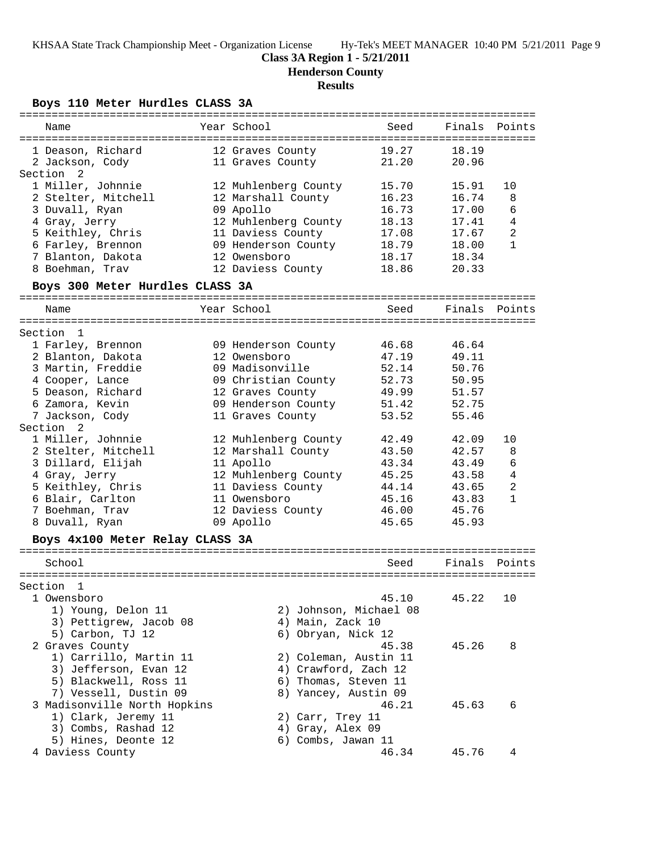## **Class 3A Region 1 - 5/21/2011**

**Henderson County**

# **Results**

**Boys 110 Meter Hurdles CLASS 3A**

| =============                   |                      |                        |               |                |
|---------------------------------|----------------------|------------------------|---------------|----------------|
| Name                            | Year School          | Seed                   | Finals Points |                |
|                                 |                      |                        |               |                |
| 1 Deason, Richard               | 12 Graves County     | 19.27                  | 18.19         |                |
| 2 Jackson, Cody                 | 11 Graves County     | 21.20                  | 20.96         |                |
| Section<br>$\overline{2}$       |                      |                        |               |                |
| 1 Miller, Johnnie               | 12 Muhlenberg County | 15.70                  | 15.91         | 10             |
| 2 Stelter, Mitchell             | 12 Marshall County   | 16.23                  | 16.74         | 8              |
| 3 Duvall, Ryan                  | 09 Apollo            | 16.73                  | 17.00         | 6              |
| 4 Gray, Jerry                   | 12 Muhlenberg County | 18.13                  | 17.41         | $\overline{4}$ |
| 5 Keithley, Chris               | 11 Daviess County    | 17.08                  | 17.67         | 2              |
|                                 |                      |                        |               | 1              |
| 6 Farley, Brennon               | 09 Henderson County  | 18.79                  | 18.00         |                |
| 7 Blanton, Dakota               | 12 Owensboro         | 18.17                  | 18.34         |                |
| 8 Boehman, Trav                 | 12 Daviess County    | 18.86                  | 20.33         |                |
| Boys 300 Meter Hurdles CLASS 3A |                      |                        |               |                |
| Name                            | Year School          | Seed                   | Finals        | Points         |
|                                 |                      |                        |               |                |
| Section 1                       |                      |                        |               |                |
| 1 Farley, Brennon               | 09 Henderson County  | 46.68                  | 46.64         |                |
| 2 Blanton, Dakota               | 12 Owensboro         | 47.19                  | 49.11         |                |
| 3 Martin, Freddie               | 09 Madisonville      | 52.14                  | 50.76         |                |
| 4 Cooper, Lance                 | 09 Christian County  | 52.73                  | 50.95         |                |
| 5 Deason, Richard               | 12 Graves County     | 49.99                  | 51.57         |                |
| 6 Zamora, Kevin                 | 09 Henderson County  | 51.42                  | 52.75         |                |
| 7 Jackson, Cody                 | 11 Graves County     | 53.52                  | 55.46         |                |
| Section 2                       |                      |                        |               |                |
| 1 Miller, Johnnie               | 12 Muhlenberg County | 42.49                  | 42.09         | 10             |
| 2 Stelter, Mitchell             | 12 Marshall County   | 43.50                  | 42.57         | 8              |
| 3 Dillard, Elijah               | 11 Apollo            | 43.34                  | 43.49         | 6              |
| 4 Gray, Jerry                   | 12 Muhlenberg County | 45.25                  | 43.58         | $\overline{4}$ |
| 5 Keithley, Chris               | 11 Daviess County    | 44.14                  | 43.65         | $\overline{a}$ |
| 6 Blair, Carlton                | 11 Owensboro         | 45.16                  | 43.83         | $\mathbf{1}$   |
| 7 Boehman, Trav                 | 12 Daviess County    | 46.00                  | 45.76         |                |
| 8 Duvall, Ryan                  | 09 Apollo            | 45.65                  | 45.93         |                |
|                                 |                      |                        |               |                |
| Boys 4x100 Meter Relay CLASS 3A |                      |                        |               |                |
| School                          |                      | Seed                   | Finals        | Points         |
|                                 |                      |                        |               |                |
| Section<br>1                    |                      |                        |               |                |
| 1 Owensboro                     |                      | 45.10                  | 45.22         | 10             |
| 1) Young, Delon 11              |                      | 2) Johnson, Michael 08 |               |                |
| 3) Pettigrew, Jacob 08          | 4) Main, Zack 10     |                        |               |                |
| 5) Carbon, TJ 12                | 6) Obryan, Nick 12   |                        |               |                |
|                                 |                      |                        |               |                |
| 2 Graves County                 |                      | 45.38                  | 45.26         | 8              |
| 1) Carrillo, Martin 11          |                      | 2) Coleman, Austin 11  |               |                |
| 3) Jefferson, Evan 12           |                      | 4) Crawford, Zach 12   |               |                |
| 5) Blackwell, Ross 11           |                      | 6) Thomas, Steven 11   |               |                |
| 7) Vessell, Dustin 09           |                      | 8) Yancey, Austin 09   |               |                |
| 3 Madisonville North Hopkins    |                      | 46.21                  | 45.63         | 6              |
| 1) Clark, Jeremy 11             | 2) Carr, Trey 11     |                        |               |                |
| 3) Combs, Rashad 12             | 4) Gray, Alex 09     |                        |               |                |
| 5) Hines, Deonte 12             | 6) Combs, Jawan 11   |                        |               |                |
| 4 Daviess County                |                      | 46.34                  | 45.76         | 4              |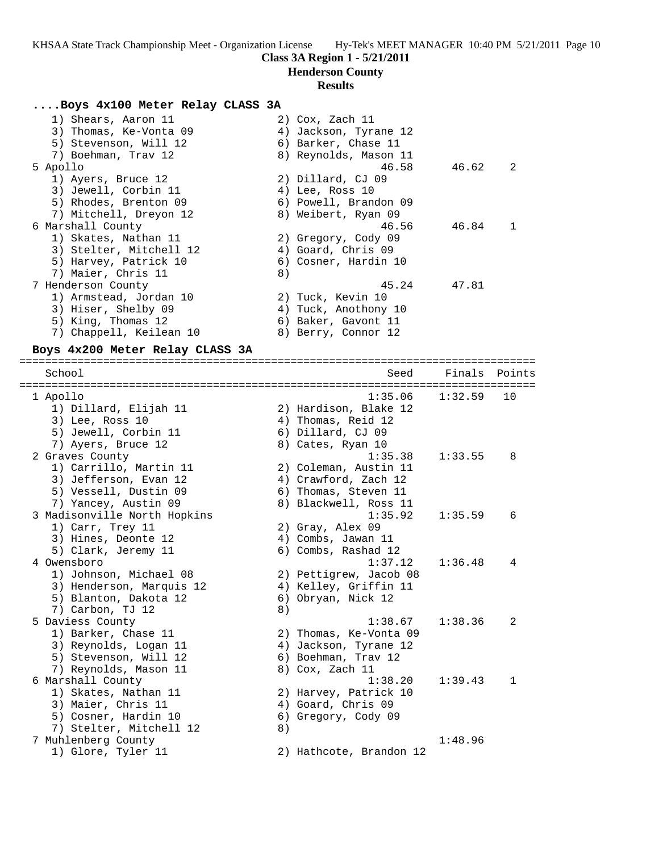## **Henderson County**

#### **Results**

#### **....Boys 4x100 Meter Relay CLASS 3A**

| 1) Shears, Aaron 11     |    | 2) Cox, Zach 11       |       |    |
|-------------------------|----|-----------------------|-------|----|
| 3) Thomas, Ke-Vonta 09  |    | 4) Jackson, Tyrane 12 |       |    |
| 5) Stevenson, Will 12   |    | 6) Barker, Chase 11   |       |    |
| 7) Boehman, Trav 12     |    | 8) Reynolds, Mason 11 |       |    |
| 5 Apollo                |    | 46.58                 | 46.62 | -2 |
| 1) Ayers, Bruce 12      |    | 2) Dillard, CJ 09     |       |    |
| 3) Jewell, Corbin 11    |    | 4) Lee, Ross 10       |       |    |
| 5) Rhodes, Brenton 09   |    | 6) Powell, Brandon 09 |       |    |
| 7) Mitchell, Dreyon 12  |    | 8) Weibert, Ryan 09   |       |    |
| 6 Marshall County       |    | 46.56                 | 46.84 | 1  |
| 1) Skates, Nathan 11    |    | 2) Gregory, Cody 09   |       |    |
| 3) Stelter, Mitchell 12 |    | 4) Goard, Chris 09    |       |    |
| 5) Harvey, Patrick 10   |    | 6) Cosner, Hardin 10  |       |    |
| 7) Maier, Chris 11      | 8) |                       |       |    |
| 7 Henderson County      |    | 45.24                 | 47.81 |    |
| 1) Armstead, Jordan 10  |    | 2) Tuck, Kevin 10     |       |    |
| 3) Hiser, Shelby 09     |    | 4) Tuck, Anothony 10  |       |    |
| 5) King, Thomas 12      |    | 6) Baker, Gavont 11   |       |    |
| 7) Chappell, Keilean 10 |    | 8) Berry, Connor 12   |       |    |
|                         |    |                       |       |    |

### **Boys 4x200 Meter Relay CLASS 3A**

================================================================================ School Seed Finals Points ================================================================================ 1 Apollo 1:35.06 1:32.59 10 1) Dillard, Elijah 11 2) Hardison, Blake 12 3) Lee, Ross 10 (4) Thomas, Reid 12 5) Jewell, Corbin 11 6) Dillard, CJ 09 7) Ayers, Bruce 12 8) Cates, Ryan 10 2 Graves County 1:35.38 1:33.55 8 1) Carrillo, Martin 11 2) Coleman, Austin 11 3) Jefferson, Evan 12  $\hskip1cm$  4) Crawford, Zach 12 5) Vessell, Dustin 09  $\qquad \qquad$  6) Thomas, Steven 11 7) Yancey, Austin 09 8) Blackwell, Ross 11 3 Madisonville North Hopkins 1:35.92 1:35.59 6 1) Carr, Trey 11 2) Gray, Alex 09 3) Hines, Deonte 12 (4) Combs, Jawan 11 5) Clark, Jeremy 11 6) Combs, Rashad 12 4 Owensboro 1:37.12 1:36.48 4 1) Johnson, Michael 08 2) Pettigrew, Jacob 08 3) Henderson, Marquis 12 4) Kelley, Griffin 11 5) Blanton, Dakota 12 (6) Obryan, Nick 12 7) Carbon, TJ 12 8) 5 Daviess County 1:38.67 1:38.36 2 1) Barker, Chase 11 2) Thomas, Ke-Vonta 09 3) Reynolds, Logan 11 4) Jackson, Tyrane 12 5) Stevenson, Will 12 6) Boehman, Trav 12 7) Reynolds, Mason 11 and 8) Cox, Zach 11 6 Marshall County 1:38.20 1:39.43 1 1) Skates, Nathan 11 2) Harvey, Patrick 10 3) Maier, Chris 11 4) Goard, Chris 09 5) Cosner, Hardin 10 (6) Gregory, Cody 09 7) Stelter, Mitchell 12 a) 7 Muhlenberg County 1:48.96 1) Glore, Tyler 11 2) Hathcote, Brandon 12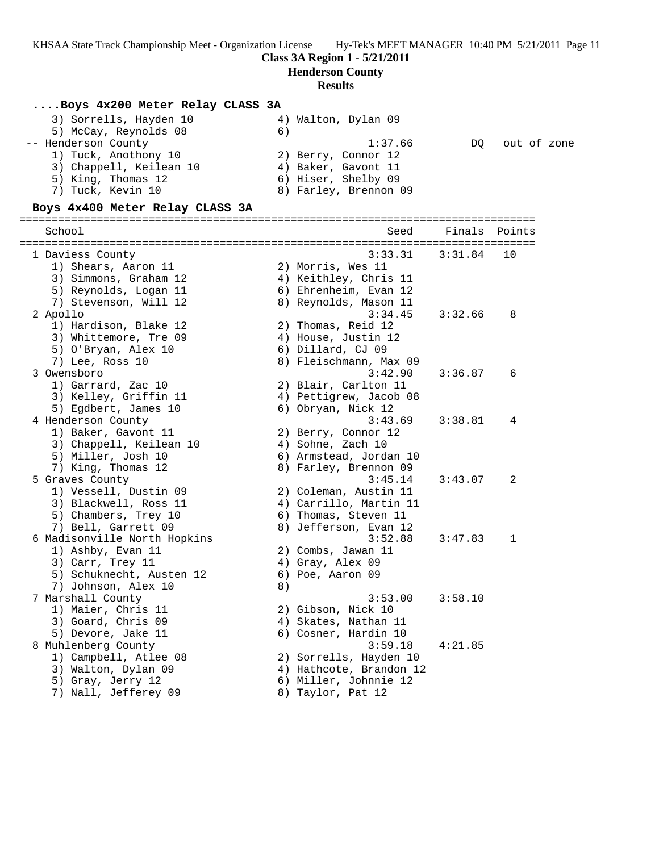**Class 3A Region 1 - 5/21/2011**

**Henderson County**

## **Results**

### **....Boys 4x200 Meter Relay CLASS 3A**

| 3) Sorrells, Hayden 10  | 4) Walton, Dylan 09   |                |
|-------------------------|-----------------------|----------------|
| 5) McCay, Reynolds 08   | 6                     |                |
| -- Henderson County     | 1:37.66               | DO out of zone |
| 1) Tuck, Anothony 10    | 2) Berry, Connor 12   |                |
| 3) Chappell, Keilean 10 | 4) Baker, Gavont 11   |                |
| 5) King, Thomas 12      | 6) Hiser, Shelby 09   |                |
| 7) Tuck, Kevin 10       | 8) Farley, Brennon 09 |                |
|                         |                       |                |

### **Boys 4x400 Meter Relay CLASS 3A**

|  | School                       |    | Seed                    | Finals Points |             |
|--|------------------------------|----|-------------------------|---------------|-------------|
|  |                              |    |                         |               |             |
|  | 1 Daviess County             |    | 3:33.31                 | 3:31.84       | 10          |
|  | 1) Shears, Aaron 11          |    | 2) Morris, Wes 11       |               |             |
|  | 3) Simmons, Graham 12        |    | 4) Keithley, Chris 11   |               |             |
|  | 5) Reynolds, Logan 11        |    | 6) Ehrenheim, Evan 12   |               |             |
|  | 7) Stevenson, Will 12        |    | 8) Reynolds, Mason 11   |               |             |
|  | 2 Apollo                     |    | 3:34.45                 | 3:32.66       | 8           |
|  | 1) Hardison, Blake 12        |    | 2) Thomas, Reid 12      |               |             |
|  | 3) Whittemore, Tre 09        |    | 4) House, Justin 12     |               |             |
|  | 5) O'Bryan, Alex 10          |    | 6) Dillard, CJ 09       |               |             |
|  | 7) Lee, Ross 10              |    | 8) Fleischmann, Max 09  |               |             |
|  | 3 Owensboro                  |    | 3:42.90                 | 3:36.87       | 6           |
|  | 1) Garrard, Zac 10           |    | 2) Blair, Carlton 11    |               |             |
|  | 3) Kelley, Griffin 11        |    | 4) Pettigrew, Jacob 08  |               |             |
|  | 5) Egdbert, James 10         |    | 6) Obryan, Nick 12      |               |             |
|  | 4 Henderson County           |    | 3:43.69                 | 3:38.81       | 4           |
|  | 1) Baker, Gavont 11          |    | 2) Berry, Connor 12     |               |             |
|  | 3) Chappell, Keilean 10      |    | 4) Sohne, Zach 10       |               |             |
|  | 5) Miller, Josh 10           |    | 6) Armstead, Jordan 10  |               |             |
|  | 7) King, Thomas 12           |    | 8) Farley, Brennon 09   |               |             |
|  | 5 Graves County              |    | 3:45.14                 | 3:43.07       | 2           |
|  | 1) Vessell, Dustin 09        |    | 2) Coleman, Austin 11   |               |             |
|  | 3) Blackwell, Ross 11        |    | 4) Carrillo, Martin 11  |               |             |
|  | 5) Chambers, Trey 10         |    | 6) Thomas, Steven 11    |               |             |
|  | 7) Bell, Garrett 09          |    | 8) Jefferson, Evan 12   |               |             |
|  | 6 Madisonville North Hopkins |    | 3:52.88                 | 3:47.83       | $\mathbf 1$ |
|  | 1) Ashby, Evan 11            |    | 2) Combs, Jawan 11      |               |             |
|  | 3) Carr, Trey 11             |    | 4) Gray, Alex 09        |               |             |
|  | 5) Schuknecht, Austen 12     |    | 6) Poe, Aaron 09        |               |             |
|  | 7) Johnson, Alex 10          | 8) |                         |               |             |
|  | 7 Marshall County            |    | 3:53.00                 | 3:58.10       |             |
|  | 1) Maier, Chris 11           |    | 2) Gibson, Nick 10      |               |             |
|  | 3) Goard, Chris 09           |    | 4) Skates, Nathan 11    |               |             |
|  | 5) Devore, Jake 11           |    | 6) Cosner, Hardin 10    |               |             |
|  |                              |    | 3:59.18                 |               |             |
|  | 8 Muhlenberg County          |    |                         | 4:21.85       |             |
|  | 1) Campbell, Atlee 08        |    | 2) Sorrells, Hayden 10  |               |             |
|  | 3) Walton, Dylan 09          |    | 4) Hathcote, Brandon 12 |               |             |
|  | 5) Gray, Jerry 12            |    | 6) Miller, Johnnie 12   |               |             |
|  | 7) Nall, Jefferey 09         |    | 8) Taylor, Pat 12       |               |             |
|  |                              |    |                         |               |             |